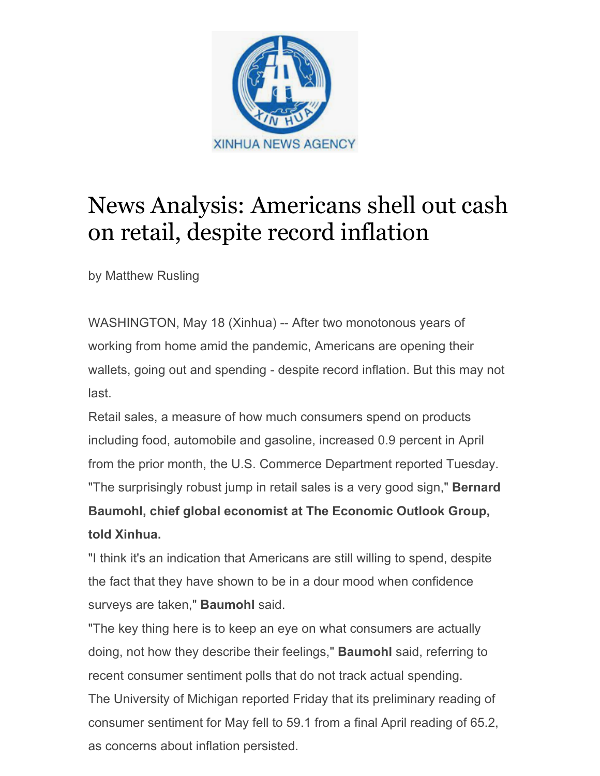

## News Analysis: Americans shell out cash on retail, despite record inflation

by Matthew Rusling

WASHINGTON, May 18 (Xinhua) -- After two monotonous years of working from home amid the pandemic, Americans are opening their wallets, going out and spending - despite record inflation. But this may not last.

Retail sales, a measure of how much consumers spend on products including food, automobile and gasoline, increased 0.9 percent in April from the prior month, the U.S. Commerce Department reported Tuesday. "The surprisingly robust jump in retail sales is a very good sign," **Bernard Baumohl, chief global economist at The Economic Outlook Group, told Xinhua.**

"I think it's an indication that Americans are still willing to spend, despite the fact that they have shown to be in a dour mood when confidence surveys are taken," **Baumohl** said.

"The key thing here is to keep an eye on what consumers are actually doing, not how they describe their feelings," **Baumohl** said, referring to recent consumer sentiment polls that do not track actual spending. The University of Michigan reported Friday that its preliminary reading of consumer sentiment for May fell to 59.1 from a final April reading of 65.2, as concerns about inflation persisted.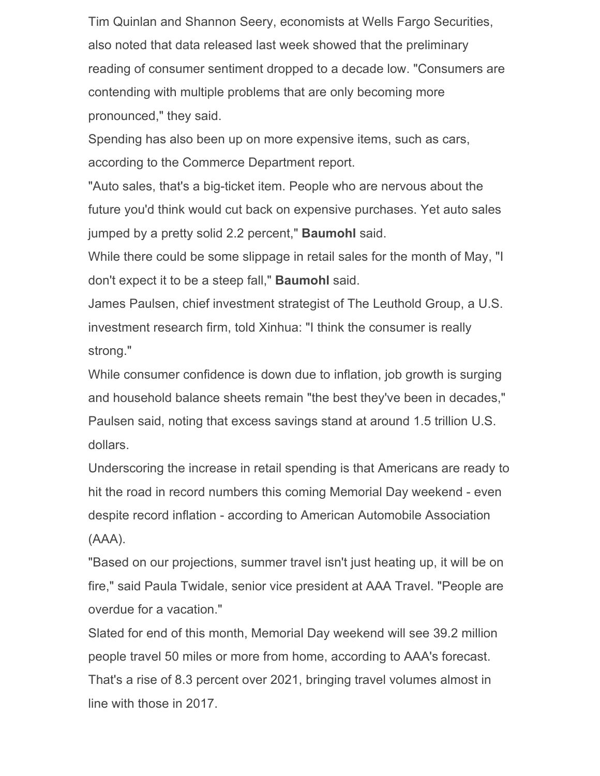Tim Quinlan and Shannon Seery, economists at Wells Fargo Securities, also noted that data released last week showed that the preliminary reading of consumer sentiment dropped to a decade low. "Consumers are contending with multiple problems that are only becoming more pronounced," they said.

Spending has also been up on more expensive items, such as cars, according to the Commerce Department report.

"Auto sales, that's a big-ticket item. People who are nervous about the future you'd think would cut back on expensive purchases. Yet auto sales jumped by a pretty solid 2.2 percent," **Baumohl** said.

While there could be some slippage in retail sales for the month of May, "I don't expect it to be a steep fall," **Baumohl** said.

James Paulsen, chief investment strategist of The Leuthold Group, a U.S. investment research firm, told Xinhua: "I think the consumer is really strong."

While consumer confidence is down due to inflation, job growth is surging and household balance sheets remain "the best they've been in decades," Paulsen said, noting that excess savings stand at around 1.5 trillion U.S. dollars.

Underscoring the increase in retail spending is that Americans are ready to hit the road in record numbers this coming Memorial Day weekend - even despite record inflation - according to American Automobile Association (AAA).

"Based on our projections, summer travel isn't just heating up, it will be on fire," said Paula Twidale, senior vice president at AAA Travel. "People are overdue for a vacation."

Slated for end of this month, Memorial Day weekend will see 39.2 million people travel 50 miles or more from home, according to AAA's forecast. That's a rise of 8.3 percent over 2021, bringing travel volumes almost in line with those in 2017.